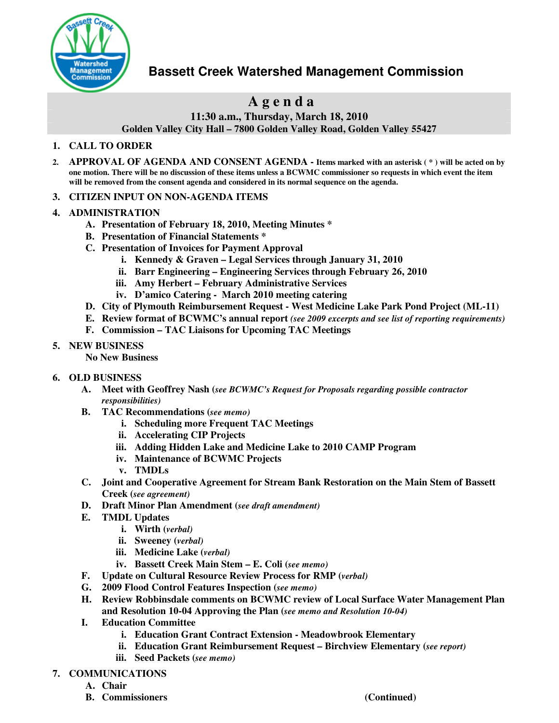

# **Bassett Creek Watershed Management Commission**

# **A g e n d a**

**11:30 a.m., Thursday, March 18, 2010**

**Golden Valley City Hall – 7800 Golden Valley Road, Golden Valley 55427**

### **1. CALL TO ORDER**

- 2. APPROVAL OF AGENDA AND CONSENT AGENDA Items marked with an asterisk (\*) will be acted on by one motion. There will be no discussion of these items unless a BCWMC commissioner so requests in which event the item **will be removed from the consent agenda and considered in its normal sequence on the agenda.**
- **3. CITIZEN INPUT ON NON-AGENDA ITEMS**
- **4. ADMINISTRATION**
	- **A. Presentation of February 18, 2010, Meeting Minutes \***
	- **B. Presentation of Financial Statements \***
	- **C. Presentation of Invoices for Payment Approval**
		- **i. Kennedy & Graven – Legal Services through January 31, 2010**
		- **ii. Barr Engineering – Engineering Services through February 26, 2010**
		- **iii. Amy Herbert – February Administrative Services**
		- **iv. D'amico Catering - March 2010 meeting catering**
	- **D. City of Plymouth Reimbursement Request - West Medicine Lake Park Pond Project (ML-11)**
	- **E. Review format of BCWMC's annual report** *(see 2009 excerpts and see list of reporting requirements)*
	- **F. Commission – TAC Liaisons for Upcoming TAC Meetings**

### **5. NEW BUSINESS**

**No New Business**

#### **6. OLD BUSINESS**

- **A. Meet with Geoffrey Nash (***see BCWMC's Request for Proposals regarding possible contractor responsibilities)*
- **B. TAC Recommendations (***see memo)*
	- **i. Scheduling more Frequent TAC Meetings**
	- **ii. Accelerating CIP Projects**
	- **iii. Adding Hidden Lake and Medicine Lake to 2010 CAMP Program**
	- **iv. Maintenance of BCWMC Projects**
	- **v. TMDLs**
- **C. Joint and Cooperative Agreement for Stream Bank Restoration on the Main Stem of Bassett Creek (***see agreement)*
- **D. Draft Minor Plan Amendment (***see draft amendment)*
- **E. TMDL Updates**
	- **i. Wirth (***verbal)*
	- **ii. Sweeney (***verbal)*
	- **iii. Medicine Lake (***verbal)*
	- **iv. Bassett Creek Main Stem – E. Coli (***see memo)*
- **F. Update on Cultural Resource Review Process for RMP (***verbal)*
- **G. 2009 Flood Control Features Inspection (***see memo)*
- **H. Review Robbinsdale comments on BCWMC review of Local Surface Water Management Plan and Resolution 10-04 Approving the Plan (***see memo and Resolution 10-04)*
- **I. Education Committee**
	- **i. Education Grant Contract Extension - Meadowbrook Elementary**
	- **ii. Education Grant Reimbursement Request – Birchview Elementary (***see report)*
	- **iii. Seed Packets (***see memo)*

### **7. COMMUNICATIONS**

- **A. Chair**
- **B. Commissioners (Continued)**